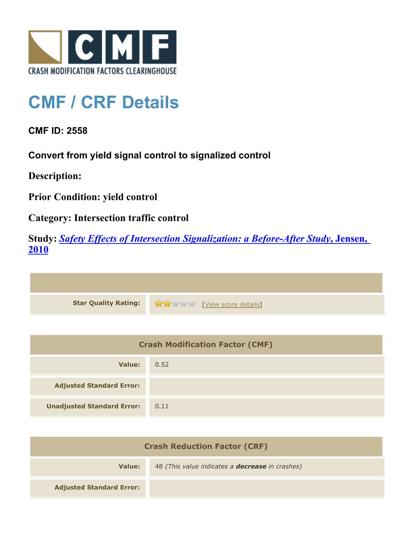

## **CMF / CRF Details**

**CMF ID: 2558**

**Convert from yield signal control to signalized control**

**Description:** 

**Prior Condition: yield control**

**Category: Intersection traffic control**

**Study:** *[Safety Effects of Intersection Signalization: a Before-After Study](http://www.cmfclearinghouse.org/study_detail.cfm?stid=170)***[, Jensen,](http://www.cmfclearinghouse.org/study_detail.cfm?stid=170) [2010](http://www.cmfclearinghouse.org/study_detail.cfm?stid=170)**



| <b>Crash Modification Factor (CMF)</b> |      |
|----------------------------------------|------|
| Value:                                 | 0.52 |
| <b>Adjusted Standard Error:</b>        |      |
| <b>Unadjusted Standard Error:</b>      | 0.11 |

| <b>Crash Reduction Factor (CRF)</b> |                                                        |
|-------------------------------------|--------------------------------------------------------|
| Value:                              | 48 (This value indicates a <b>decrease</b> in crashes) |
| <b>Adjusted Standard Error:</b>     |                                                        |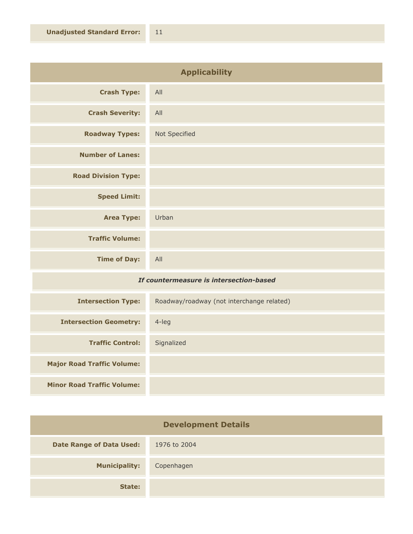| <b>Applicability</b>       |               |
|----------------------------|---------------|
| <b>Crash Type:</b>         | All           |
| <b>Crash Severity:</b>     | All           |
| <b>Roadway Types:</b>      | Not Specified |
| <b>Number of Lanes:</b>    |               |
| <b>Road Division Type:</b> |               |
| <b>Speed Limit:</b>        |               |
| <b>Area Type:</b>          | Urban         |
| <b>Traffic Volume:</b>     |               |
| <b>Time of Day:</b>        | All           |

## *If countermeasure is intersection-based*

| <b>Intersection Type:</b>         | Roadway/roadway (not interchange related) |
|-----------------------------------|-------------------------------------------|
| <b>Intersection Geometry:</b>     | $4$ -leg                                  |
| <b>Traffic Control:</b>           | Signalized                                |
| <b>Major Road Traffic Volume:</b> |                                           |
| <b>Minor Road Traffic Volume:</b> |                                           |

| <b>Development Details</b>      |              |
|---------------------------------|--------------|
| <b>Date Range of Data Used:</b> | 1976 to 2004 |
| <b>Municipality:</b>            | Copenhagen   |
| State:                          |              |